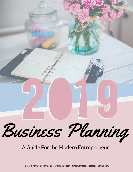

### A Guide For the Modern Entrepreneur

Breeya Johnson | Johnson.breeya@gmail.com | empowerholisticsuccesscoaching.com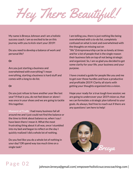Hey There Beautiful!

My name is Breeya Johnson and I am a holistic success coach. I am so excited to be on this journey with you to kick-start your 2019!

Do you need to develop a balance of work and personal life?

#### **Or**

Are you just starting a business and overwhelmed with everything?I mean everything, starting a business is hard stuff and comes with a long to-do list.

#### **Or**

Do you just refuse to have another year like last year?If that is you, do not feel down or alone I was once in your shoes and we are going to tackle this together.

**Moment of Truth:** I had many business fail all around me and I just could not find the balance or the time to think about balance so, when I say I have been there I mean it. What the most frustrating thing about it all was, once I stumbled into my bed and began to reflect on the day I quickly realized I did a whole lot of nothing.

Do you feel like you do a whole lot of nothing in your day? OR spend way too much time on a single task?

I am telling you, there is just nothing like being overwhelmed with a to-do list, completely confused on what is next and overwhelmed with the thoughts on missing out on "life".Entrepreneurship can be so lonely at times and for a lot of people that is the single reason their business fails on top of not being strategic and organized. So, I am so glad you decided to get some clarity for your life, your business and your purpose.

I have created a guide for people like you and me to get over those hurdles and have a productive and profitable 2019! Clarity all starts with getting your thoughts organized into a vision.

Hope your ready for a true tough love session; we are going to undercover your 2019 vision so, that we can formulate a strategic plan tailored to your goals. As always, feel free to reach out if there are any questions I am here to help!



## Page 02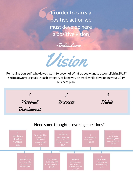In order to carry a positive action we must develop here a positive vision





Reimagine yourself, who do you want to become? What do you want to accomplish in 2019? Write down your goals in each category to keep you on track while developing your 2019 business plan.

1 Personal Development 2 Business 3 Habits

### Need some thought provoking questions?

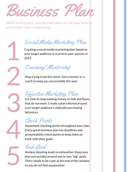Business Pl

When writing your new business plan for the year keep in mind these 5 key components

Social Media Marketing Plan

Creating a social media marketing plan based on your target audience is crucial to your success in 2019.

Coaching/ Mentorship

Stop trying to do this alone. Get a mentor or a coach to keep you accountable this year.

Effective Marketing Plan

it is time to stop wasting money on Ads and flyers that do not work. Create a plan tailored around your target audience's statically purchasing behaviors.

## Check Points

Implement checking points throughout your plan. Every great business plan has deadlines and accountability check points to keep them on track with their goals.

End-Goal

Aimless shooting leads to exhaustion. Keep your plan surrounded around one or two "big" goals. There needs to be a pot at the end of the rainbow so you do not feel purposeless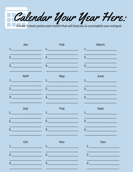Calendar Your Year Here: Create 3 check points each month that will lead you to accomplish your end goal.

| Jan                                                                                                                                                                 | Feb                                                                                 | March                                                                            |
|---------------------------------------------------------------------------------------------------------------------------------------------------------------------|-------------------------------------------------------------------------------------|----------------------------------------------------------------------------------|
|                                                                                                                                                                     | $\begin{array}{c} \n \begin{array}{c} \n 1. & \n \end{array} \n \end{array}$        | $1.$ The set of $\sim$                                                           |
| 2.                                                                                                                                                                  | 2.                                                                                  | 2.                                                                               |
| $\begin{array}{c c c c c} \hline \rule{0pt}{16pt} & \rule{0pt}{16pt} \multicolumn{3}{c c }{\textbf{3.}} & \multicolumn{3}{c c }{\textbf{6.}} \\ \hline \end{array}$ | 3.                                                                                  | $\begin{array}{c c} \hline 3. & \begin{array}{c} \hline \end{array} \end{array}$ |
| April<br>1.                                                                                                                                                         | May<br>$\begin{array}{c} \n \begin{array}{c} \n 1. & \n \end{array} \n \end{array}$ | June<br>1.                                                                       |
|                                                                                                                                                                     | 2.                                                                                  | 2.                                                                               |
| 3.                                                                                                                                                                  | 3.                                                                                  | $3.$ $\overline{\phantom{a}}$                                                    |
| July<br>1.                                                                                                                                                          | Aug<br>$\begin{array}{c} \n \begin{array}{c} \n 1. & \n \end{array} \n \end{array}$ | <b>Sept</b>                                                                      |
|                                                                                                                                                                     | 2.                                                                                  | 2.                                                                               |
| 3.                                                                                                                                                                  | $\overline{\mathbf{3.}}$                                                            | 3.                                                                               |
| Oct<br>1.                                                                                                                                                           | <b>Nov</b><br>1.                                                                    | <b>Dec</b><br>1.                                                                 |

 $2.$ 

 $3.$ 

 $2.$ 

 $3.$ 

 $2.$  $3.$